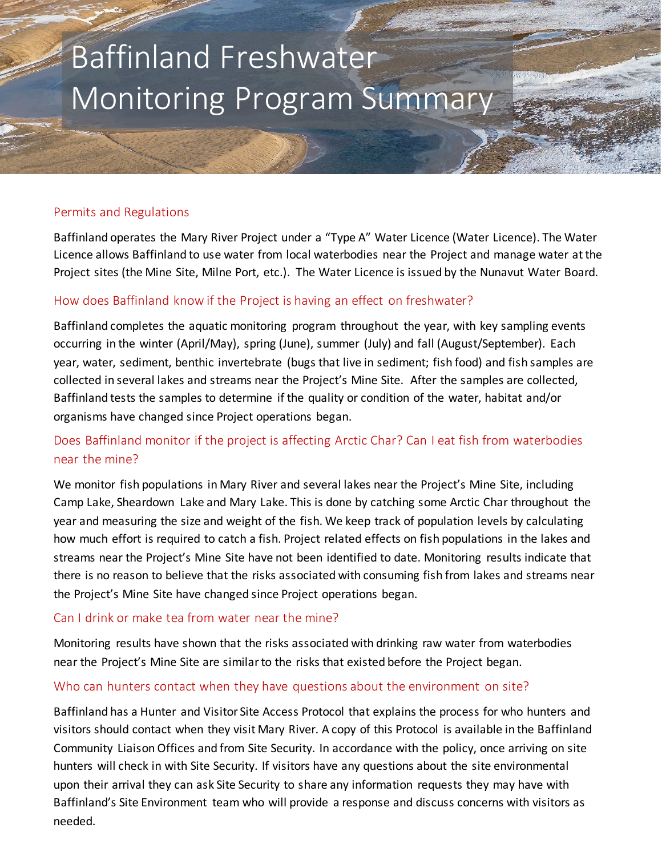# Baffinland Freshwater Monitoring Program Summary

### Permits and Regulations

Baffinland operates the Mary River Project under a "Type A" Water Licence (Water Licence). The Water Licence allows Baffinland to use water from local waterbodies near the Project and manage water at the Project sites (the Mine Site, Milne Port, etc.). The Water Licence is issued by the Nunavut Water Board.

### How does Baffinland know if the Project is having an effect on freshwater?

Baffinland completes the aquatic monitoring program throughout the year, with key sampling events occurring in the winter (April/May), spring (June), summer (July) and fall (August/September). Each year, water, sediment, benthic invertebrate (bugs that live in sediment; fish food) and fish samples are collected in several lakes and streams near the Project's Mine Site. After the samples are collected, Baffinland tests the samples to determine if the quality or condition of the water, habitat and/or organisms have changed since Project operations began.

## Does Baffinland monitor if the project is affecting Arctic Char? Can I eat fish from waterbodies near the mine?

We monitor fish populations in Mary River and several lakes near the Project's Mine Site, including Camp Lake, Sheardown Lake and Mary Lake. This is done by catching some Arctic Char throughout the year and measuring the size and weight of the fish. We keep track of population levels by calculating how much effort is required to catch a fish. Project related effects on fish populations in the lakes and streams near the Project's Mine Site have not been identified to date. Monitoring results indicate that there is no reason to believe that the risks associated with consuming fish from lakes and streams near the Project's Mine Site have changed since Project operations began.

### Can I drink or make tea from water near the mine?

Monitoring results have shown that the risks associated with drinking raw water from waterbodies near the Project's Mine Site are similar to the risks that existed before the Project began.

### Who can hunters contact when they have questions about the environment on site?

Baffinland has a Hunter and Visitor Site Access Protocol that explains the process for who hunters and visitors should contact when they visit Mary River. A copy of this Protocol is available in the Baffinland Community Liaison Offices and from Site Security. In accordance with the policy, once arriving on site hunters will check in with Site Security. If visitors have any questions about the site environmental upon their arrival they can ask Site Security to share any information requests they may have with Baffinland's Site Environment team who will provide a response and discuss concerns with visitors as needed.